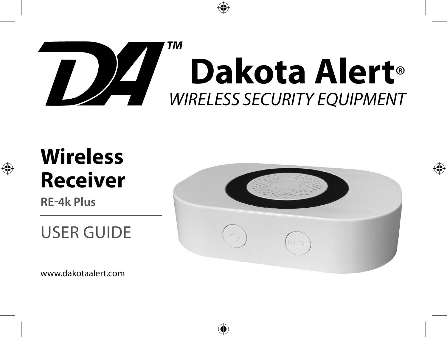

# **Wireless Receiver**

**RE-4k Plus**

# USER GUIDE

www.dakotaalert.com

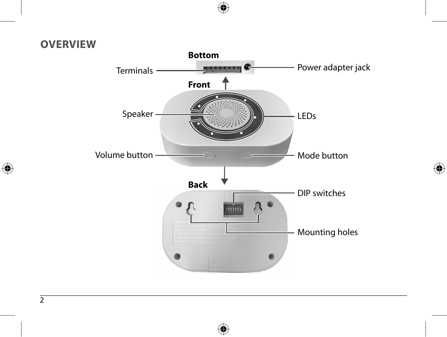#### **OVERVIEW**

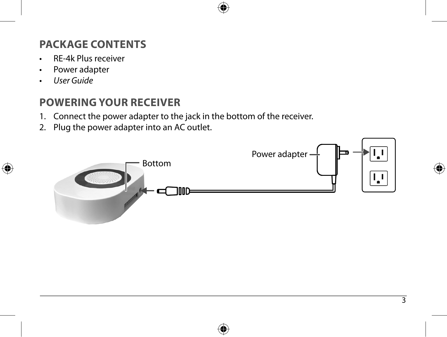#### **PACKAGE CONTENTS**

- RE-4k Plus receiver
- Power adapter
- User Guide

#### **POWERING YOUR RECEIVER**

- 1. Connect the power adapter to the jack in the bottom of the receiver.
- 2. Plug the power adapter into an AC outlet.

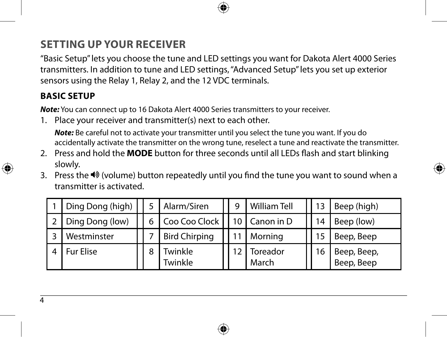### **SETTING UP YOUR RECEIVER**

"Basic Setup" lets you choose the tune and LED settings you want for Dakota Alert 4000 Series transmitters. In addition to tune and LED settings, "Advanced Setup" lets you set up exterior sensors using the Relay 1, Relay 2, and the 12 VDC terminals.

#### **BASIC SETUP**

*Note:* You can connect up to 16 Dakota Alert 4000 Series transmitters to your receiver.

1. Place your receiver and transmitter(s) next to each other.

*Note:* Be careful not to activate your transmitter until you select the tune you want. If you do accidentally activate the transmitter on the wrong tune, reselect a tune and reactivate the transmitter.

- 2. Press and hold the **MODE** button for three seconds until all LEDs flash and start blinking slowly.
- 3. Press the  $\blacktriangleleft\$  (volume) button repeatedly until you find the tune you want to sound when a transmitter is activated.

| Ding Dong (high) |   | Alarm/Siren          | q  | <b>William Tell</b> |    | Beep (high)               |
|------------------|---|----------------------|----|---------------------|----|---------------------------|
| Ding Dong (low)  |   | Coo Coo Clock        | 10 | Canon in D          | 14 | Beep (low)                |
| Westminster      |   | <b>Bird Chirping</b> |    | Morning             |    | Beep, Beep                |
| <b>Fur Elise</b> | 8 | Twinkle<br>Twinkle   |    | Toreador<br>March   | 16 | Beep, Beep,<br>Beep, Beep |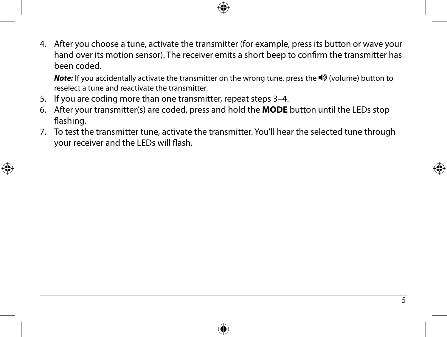4. After you choose a tune, activate the transmitter (for example, press its button or wave your hand over its motion sensor). The receiver emits a short beep to confirm the transmitter has been coded.

*Note:* If you accidentally activate the transmitter on the wrong tune, press the  $\blacktriangleleft$  (volume) button to reselect a tune and reactivate the transmitter.

- 5. If you are coding more than one transmitter, repeat steps 3–4.
- 6. After your transmitter(s) are coded, press and hold the **MODE** button until the LEDs stop flashing.
- 7. To test the transmitter tune, activate the transmitter. You'll hear the selected tune through your receiver and the LEDs will flash.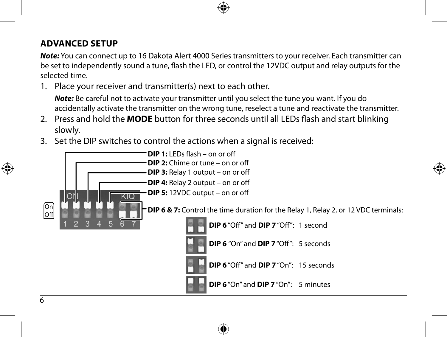#### **ADVANCED SETUP**

*Note:* You can connect up to 16 Dakota Alert 4000 Series transmitters to your receiver. Each transmitter can be set to independently sound a tune, flash the LED, or control the 12VDC output and relay outputs for the selected time.

1. Place your receiver and transmitter(s) next to each other.

*Note:* Be careful not to activate your transmitter until you select the tune you want. If you do accidentally activate the transmitter on the wrong tune, reselect a tune and reactivate the transmitter.

- 2. Press and hold the **MODE** button for three seconds until all LEDs flash and start blinking slowly.
- 3. Set the DIP switches to control the actions when a signal is received:

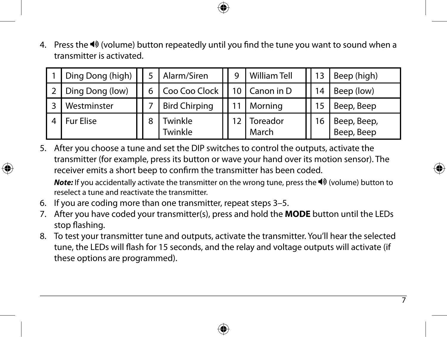4. Press the  $\blacktriangleleft\$  (volume) button repeatedly until you find the tune you want to sound when a transmitter is activated.

| Ding Dong (high) |   | Alarm/Siren          |  | <b>William Tell</b> | 13 | Beep (high)               |
|------------------|---|----------------------|--|---------------------|----|---------------------------|
| Ding Dong (low)  |   | Coo Coo Clock        |  | 10   Canon in D     | 14 | Beep (low)                |
| Westminster      |   | <b>Bird Chirping</b> |  | Morning             | 15 | Beep, Beep                |
| <b>Fur Elise</b> | 8 | Twinkle<br>Twinkle   |  | Toreador<br>March   | 6  | Beep, Beep,<br>Beep, Beep |

5. After you choose a tune and set the DIP switches to control the outputs, activate the transmitter (for example, press its button or wave your hand over its motion sensor). The receiver emits a short beep to confirm the transmitter has been coded.

*Note:* If you accidentally activate the transmitter on the wrong tune, press the <sup>■</sup> (volume) button to reselect a tune and reactivate the transmitter.

- 6. If you are coding more than one transmitter, repeat steps 3–5.
- 7. After you have coded your transmitter(s), press and hold the **MODE** button until the LEDs stop flashing.
- 8. To test your transmitter tune and outputs, activate the transmitter. You'll hear the selected tune, the LEDs will flash for 15 seconds, and the relay and voltage outputs will activate (if these options are programmed).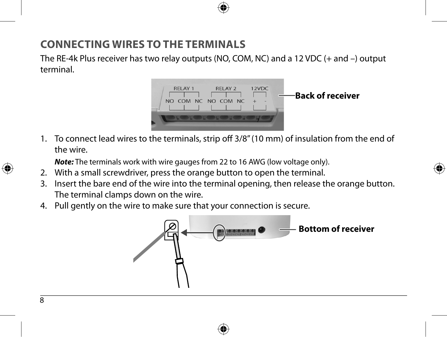#### **CONNECTING WIRES TO THE TERMINALS**

The RE-4k Plus receiver has two relay outputs (NO, COM, NC) and a 12 VDC (+ and –) output terminal.



1. To connect lead wires to the terminals, strip off 3/8" (10 mm) of insulation from the end of the wire.

*Note:* The terminals work with wire gauges from 22 to 16 AWG (low voltage only).

- 2. With a small screwdriver, press the orange button to open the terminal.
- 3. Insert the bare end of the wire into the terminal opening, then release the orange button. The terminal clamps down on the wire.
- 4. Pull gently on the wire to make sure that your connection is secure.

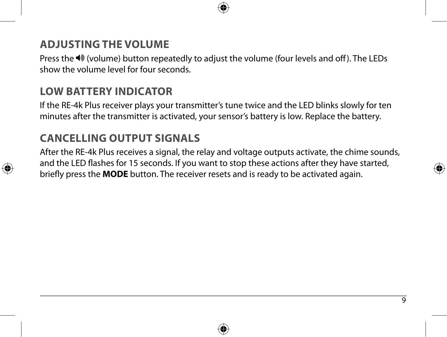#### **ADJUSTING THE VOLUME**

Press the (volume) button repeatedly to adjust the volume (four levels and off). The LEDs show the volume level for four seconds.

#### **LOW BATTERY INDICATOR**

If the RE-4k Plus receiver plays your transmitter's tune twice and the LED blinks slowly for ten minutes after the transmitter is activated, your sensor's battery is low. Replace the battery.

#### **CANCELLING OUTPUT SIGNALS**

After the RE-4k Plus receives a signal, the relay and voltage outputs activate, the chime sounds, and the LED flashes for 15 seconds. If you want to stop these actions after they have started, briefly press the **MODE** button. The receiver resets and is ready to be activated again.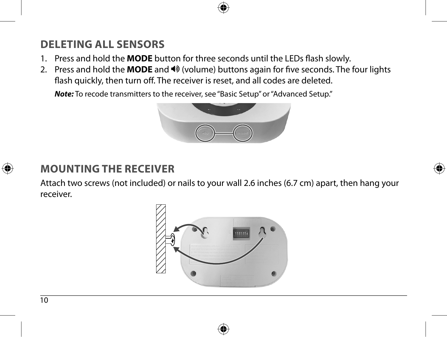## **DELETING ALL SENSORS**

- 1. Press and hold the **MODE** button for three seconds until the LEDs flash slowly.
- 2. Press and hold the **MODE** and  $\triangleleft \sqrt[3]{}$  (volume) buttons again for five seconds. The four lights flash quickly, then turn off. The receiver is reset, and all codes are deleted.

*Note:* To recode transmitters to the receiver, see "Basic Setup" or "Advanced Setup."



#### **MOUNTING THE RECEIVER**

Attach two screws (not included) or nails to your wall 2.6 inches (6.7 cm) apart, then hang your receiver.

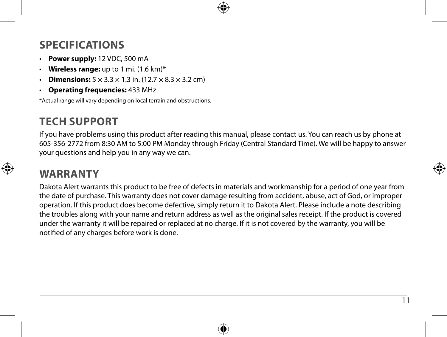#### **SPECIFICATIONS**

- **Power supply:** 12 VDC, 500 mA
- **Wireless range:** up to 1 mi. (1.6 km)\*
- **Dimensions:**  $5 \times 3.3 \times 1.3$  in. (12.7  $\times 8.3 \times 3.2$  cm)
- **Operating frequencies:** 433 MHz

\*Actual range will vary depending on local terrain and obstructions.

#### **TECH SUPPORT**

If you have problems using this product after reading this manual, please contact us. You can reach us by phone at 605-356-2772 from 8:30 AM to 5:00 PM Monday through Friday (Central Standard Time). We will be happy to answer your questions and help you in any way we can.

#### **WARRANTY**

Dakota Alert warrants this product to be free of defects in materials and workmanship for a period of one year from the date of purchase. This warranty does not cover damage resulting from accident, abuse, act of God, or improper operation. If this product does become defective, simply return it to Dakota Alert. Please include a note describing the troubles along with your name and return address as well as the original sales receipt. If the product is covered under the warranty it will be repaired or replaced at no charge. If it is not covered by the warranty, you will be notified of any charges before work is done.